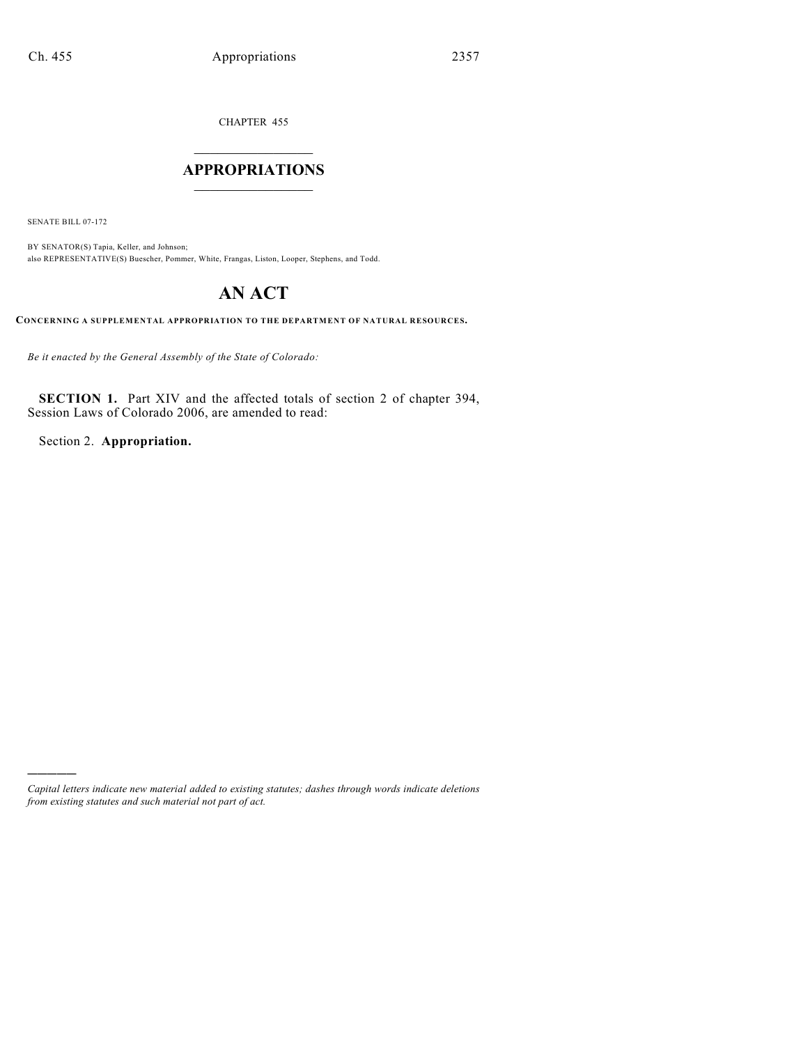CHAPTER 455

# $\overline{\phantom{a}}$  . The set of the set of the set of the set of the set of the set of the set of the set of the set of the set of the set of the set of the set of the set of the set of the set of the set of the set of the set o **APPROPRIATIONS**  $\_$   $\_$   $\_$   $\_$   $\_$   $\_$   $\_$   $\_$

SENATE BILL 07-172

)))))

BY SENATOR(S) Tapia, Keller, and Johnson; also REPRESENTATIVE(S) Buescher, Pommer, White, Frangas, Liston, Looper, Stephens, and Todd.

# **AN ACT**

**CONCERNING A SUPPLEMENTAL APPROPRIATION TO THE DEPARTMENT OF NATURAL RESOURCES.**

*Be it enacted by the General Assembly of the State of Colorado:*

**SECTION 1.** Part XIV and the affected totals of section 2 of chapter 394, Session Laws of Colorado 2006, are amended to read:

Section 2. **Appropriation.**

*Capital letters indicate new material added to existing statutes; dashes through words indicate deletions from existing statutes and such material not part of act.*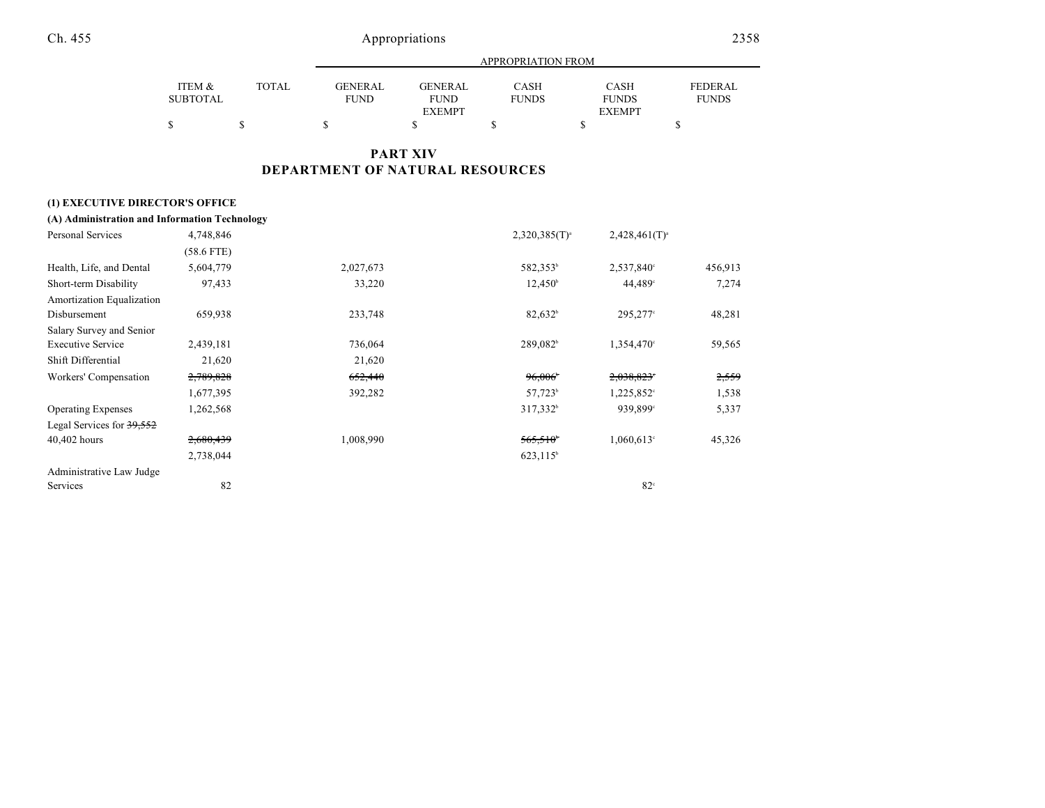Ch. 455 Appropriations 2358

|          |              |                |               | APPROPRIATION FROM |               |                |
|----------|--------------|----------------|---------------|--------------------|---------------|----------------|
| ITEM &   | <b>TOTAL</b> | <b>GENERAL</b> | GENERAL       | CASH               | CASH          | <b>FEDERAL</b> |
| SUBTOTAL |              | FUND           | <b>FUND</b>   | <b>FUNDS</b>       | <b>FUNDS</b>  | <b>FUNDS</b>   |
|          |              |                | <b>EXEMPT</b> |                    | <b>EXEMPT</b> |                |
|          |              |                |               |                    |               |                |

## **PART XIV DEPARTMENT OF NATURAL RESOURCES**

### **(1) EXECUTIVE DIRECTOR'S OFFICE**

| (A) Administration and Information Technology |  |  |
|-----------------------------------------------|--|--|
|-----------------------------------------------|--|--|

| Personal Services         | 4,748,846    |           | $2,320,385(T)^{a}$   | $2,428,461(T)^{3}$     |                  |
|---------------------------|--------------|-----------|----------------------|------------------------|------------------|
|                           | $(58.6$ FTE) |           |                      |                        |                  |
| Health, Life, and Dental  | 5,604,779    | 2,027,673 | 582,353 <sup>b</sup> | 2,537,840°             | 456,913          |
| Short-term Disability     | 97,433       | 33,220    | $12,450^{\circ}$     | 44,489 <sup>c</sup>    | 7,274            |
| Amortization Equalization |              |           |                      |                        |                  |
| Disbursement              | 659,938      | 233,748   | 82,632 <sup>b</sup>  | 295,277°               | 48,281           |
| Salary Survey and Senior  |              |           |                      |                        |                  |
| <b>Executive Service</b>  | 2,439,181    | 736,064   | 289,082 <sup>b</sup> | 1,354,470°             | 59,565           |
| Shift Differential        | 21,620       | 21,620    |                      |                        |                  |
| Workers' Compensation     | 2,789,828    | 652,440   | 96,006               | 2,038,823              | <del>2,559</del> |
|                           | 1,677,395    | 392,282   | 57,723 <sup>b</sup>  | 1,225,852 <sup>°</sup> | 1,538            |
| <b>Operating Expenses</b> | 1,262,568    |           | 317,332 <sup>b</sup> | 939,899°               | 5,337            |
| Legal Services for 39,552 |              |           |                      |                        |                  |
| 40,402 hours              | 2,680,439    | 1,008,990 | $565,510^{\circ}$    | $1,060,613$ °          | 45,326           |
|                           | 2,738,044    |           | $623,115^{\circ}$    |                        |                  |
| Administrative Law Judge  |              |           |                      |                        |                  |
| Services                  | 82           |           |                      | $82^\circ$             |                  |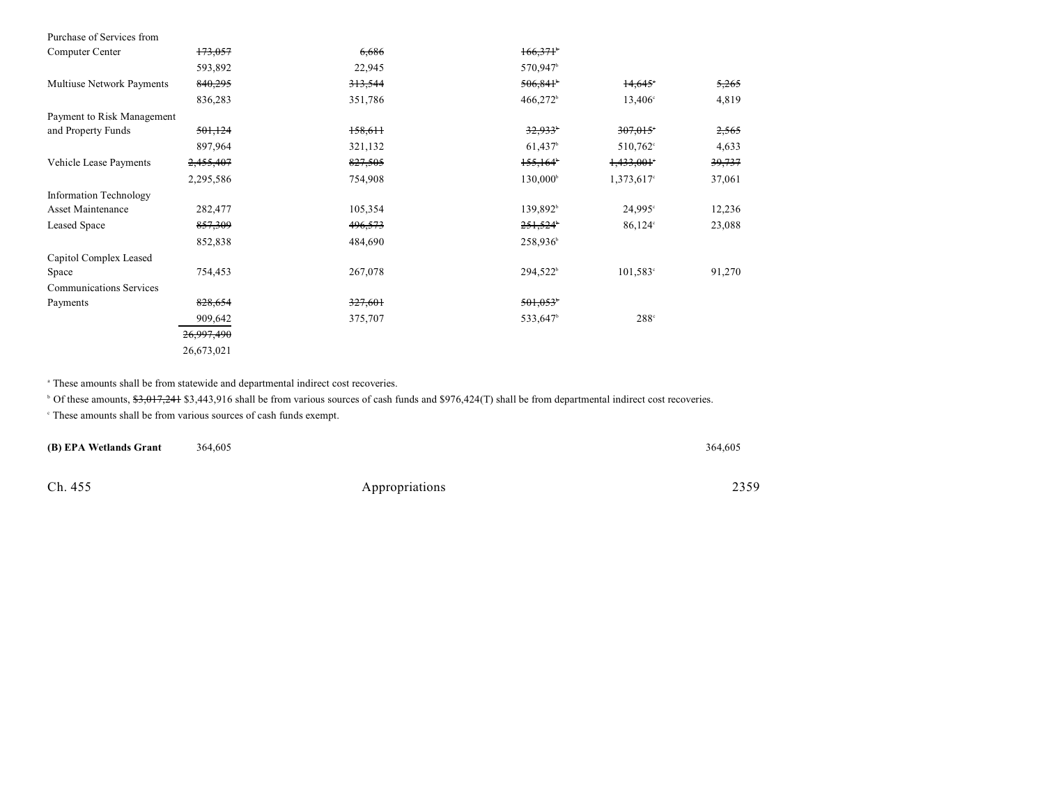| Purchase of Services from      |            |         |                       |                   |        |
|--------------------------------|------------|---------|-----------------------|-------------------|--------|
| Computer Center                | 173,057    | 6,686   | 166,371               |                   |        |
|                                | 593,892    | 22,945  | 570,947 <sup>b</sup>  |                   |        |
| Multiuse Network Payments      | 840,295    | 313,544 | 506,841               | 14,645            | 5,265  |
|                                | 836,283    | 351,786 | $466,272^b$           | $13,406^{\circ}$  | 4,819  |
| Payment to Risk Management     |            |         |                       |                   |        |
| and Property Funds             | 501,124    | 158,611 | $32,933$ <sup>6</sup> | 307,015           | 2,565  |
|                                | 897,964    | 321,132 | $61,437$ <sup>b</sup> | $510,762^{\circ}$ | 4,633  |
| Vehicle Lease Payments         | 2,455,407  | 827,505 | 155,164               | 1,433,001         | 39,737 |
|                                | 2,295,586  | 754,908 | $130,000^{\circ}$     | $1,373,617$ °     | 37,061 |
| Information Technology         |            |         |                       |                   |        |
| Asset Maintenance              | 282,477    | 105,354 | 139,892 <sup>b</sup>  | 24,995°           | 12,236 |
| Leased Space                   | 857,309    | 496,573 | 251,524               | $86,124$ °        | 23,088 |
|                                | 852,838    | 484,690 | $258,936^{\circ}$     |                   |        |
| Capitol Complex Leased         |            |         |                       |                   |        |
| Space                          | 754,453    | 267,078 | 294,522 <sup>b</sup>  | $101,583^{\circ}$ | 91,270 |
| <b>Communications Services</b> |            |         |                       |                   |        |
| Payments                       | 828,654    | 327,601 | 501,053               |                   |        |
|                                | 909,642    | 375,707 | 533,647 <sup>b</sup>  | $288^\circ$       |        |
|                                | 26,997,490 |         |                       |                   |        |
|                                | 26,673,021 |         |                       |                   |        |

<sup>a</sup> These amounts shall be from statewide and departmental indirect cost recoveries.

<sup>b</sup> Of these amounts,  $\frac{1}{2}, \frac{1}{241}$  \$3,443,916 shall be from various sources of cash funds and \$976,424(T) shall be from departmental indirect cost recoveries.

 $\,^{\circ}$  These amounts shall be from various sources of cash funds exempt.

| (B) EPA Wetlands Grant | 364,605 | 364,605 |
|------------------------|---------|---------|
|                        |         |         |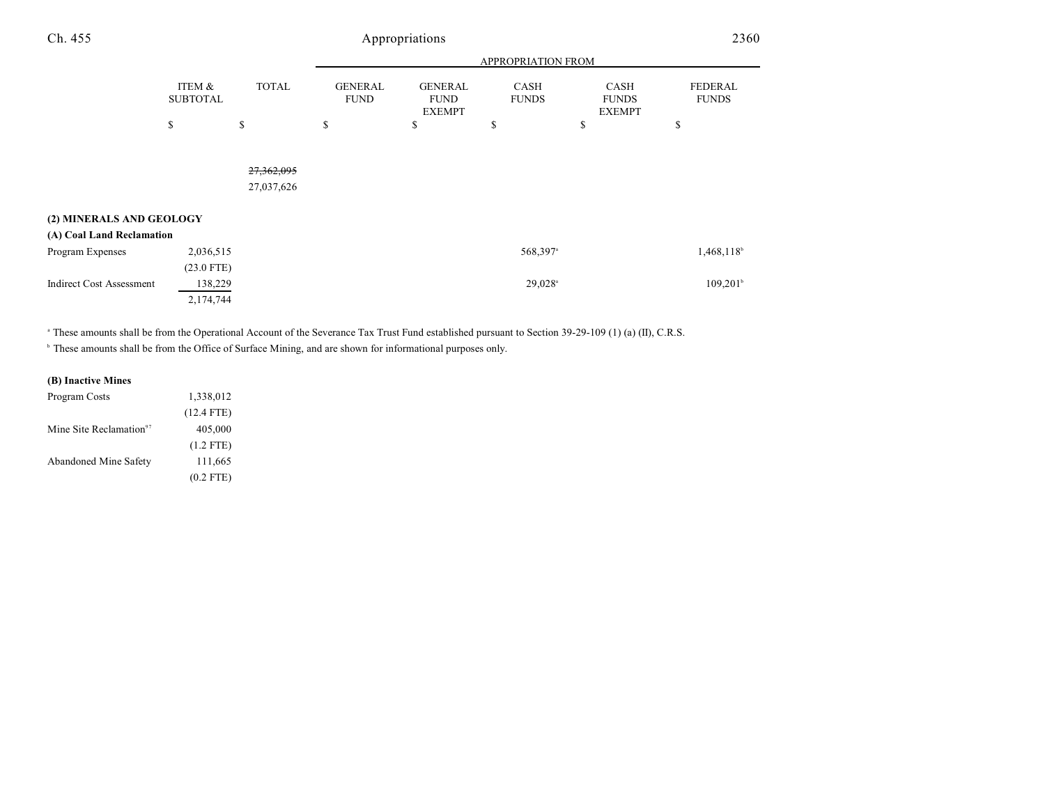| Ch. 455                         |                           | Appropriations |                               |                                                |                             | 2360                                  |                                |  |
|---------------------------------|---------------------------|----------------|-------------------------------|------------------------------------------------|-----------------------------|---------------------------------------|--------------------------------|--|
|                                 |                           |                |                               |                                                | APPROPRIATION FROM          |                                       |                                |  |
|                                 | ITEM &<br><b>SUBTOTAL</b> | <b>TOTAL</b>   | <b>GENERAL</b><br><b>FUND</b> | <b>GENERAL</b><br><b>FUND</b><br><b>EXEMPT</b> | <b>CASH</b><br><b>FUNDS</b> | CASH<br><b>FUNDS</b><br><b>EXEMPT</b> | <b>FEDERAL</b><br><b>FUNDS</b> |  |
|                                 | \$                        | \$             | \$                            | \$                                             | \$                          | \$                                    | \$                             |  |
|                                 |                           | 27,362,095     |                               |                                                |                             |                                       |                                |  |
|                                 |                           | 27,037,626     |                               |                                                |                             |                                       |                                |  |
| (2) MINERALS AND GEOLOGY        |                           |                |                               |                                                |                             |                                       |                                |  |
| (A) Coal Land Reclamation       |                           |                |                               |                                                |                             |                                       |                                |  |
| Program Expenses                | 2,036,515                 |                |                               |                                                | 568,397 <sup>a</sup>        |                                       | 1,468,118 <sup>b</sup>         |  |
|                                 | $(23.0$ FTE)              |                |                               |                                                |                             |                                       |                                |  |
| <b>Indirect Cost Assessment</b> | 138,229                   |                |                               |                                                | $29,028$ <sup>a</sup>       |                                       | $109,201^{\circ}$              |  |
|                                 | 2,174,744                 |                |                               |                                                |                             |                                       |                                |  |

<sup>a</sup> These amounts shall be from the Operational Account of the Severance Tax Trust Fund established pursuant to Section 39-29-109 (1) (a) (II), C.R.S.

**b** These amounts shall be from the Office of Surface Mining, and are shown for informational purposes only.

### **(B) Inactive Mines**

| Program Costs                       | 1,338,012    |
|-------------------------------------|--------------|
|                                     | $(12.4$ FTE) |
| Mine Site Reclamation <sup>97</sup> | 405,000      |
|                                     | $(1.2$ FTE)  |
| <b>Abandoned Mine Safety</b>        | 111,665      |
|                                     | $(0.2$ FTE)  |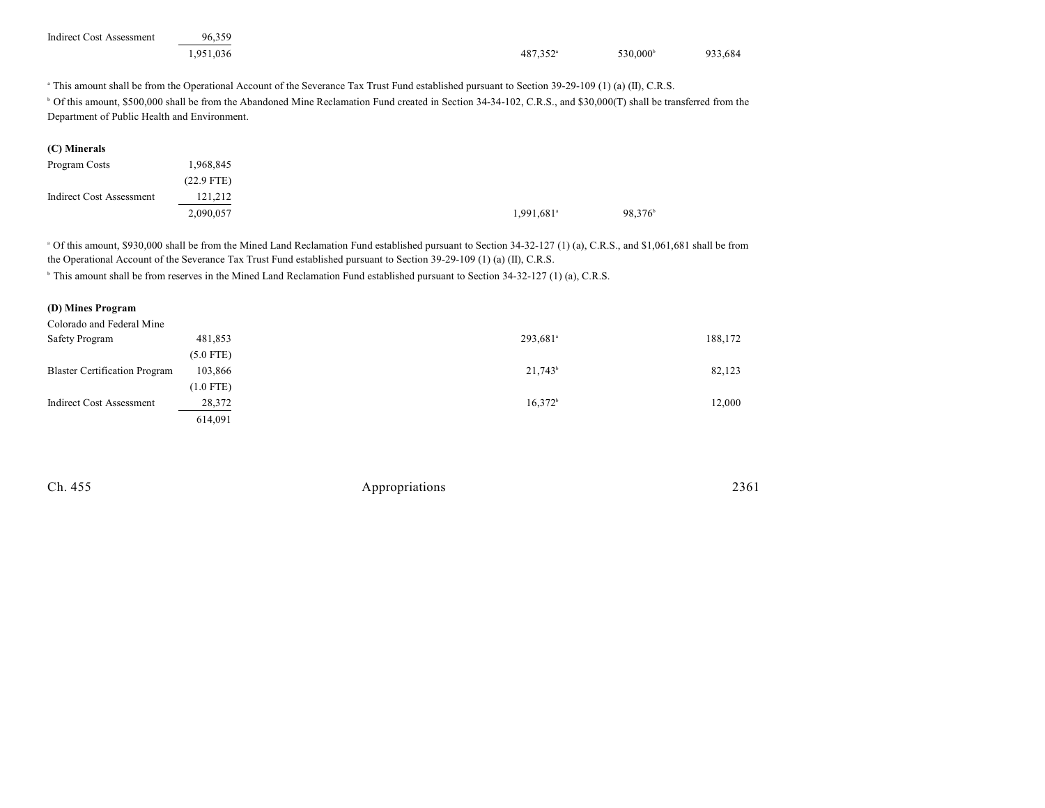| <b>Indirect Cost Assessment</b> | 96.359   |  |                      |                      |         |
|---------------------------------|----------|--|----------------------|----------------------|---------|
|                                 | .951.036 |  | 487.352 <sup>a</sup> | 530,000 <sup>b</sup> | 933,684 |

<sup>a</sup> This amount shall be from the Operational Account of the Severance Tax Trust Fund established pursuant to Section 39-29-109 (1) (a) (II), C.R.S.

<sup>b</sup> Of this amount, \$500,000 shall be from the Abandoned Mine Reclamation Fund created in Section 34-34-102, C.R.S., and \$30,000(T) shall be transferred from the Department of Public Health and Environment.

| (C) Minerals                    |              |
|---------------------------------|--------------|
| Program Costs                   | 1,968,845    |
|                                 | $(22.9$ FTE) |
| <b>Indirect Cost Assessment</b> | 121,212      |
|                                 | 2,090,057    |

<sup>a</sup> Of this amount, \$930,000 shall be from the Mined Land Reclamation Fund established pursuant to Section 34-32-127 (1) (a), C.R.S., and \$1,061,681 shall be from the Operational Account of the Severance Tax Trust Fund established pursuant to Section 39-29-109 (1) (a) (II), C.R.S.

<sup>b</sup> This amount shall be from reserves in the Mined Land Reclamation Fund established pursuant to Section 34-32-127 (1) (a), C.R.S.

#### **(D) Mines Program**

| Colorado and Federal Mine            |             |                      |         |
|--------------------------------------|-------------|----------------------|---------|
| Safety Program                       | 481,853     | 293,681 <sup>ª</sup> | 188,172 |
|                                      | $(5.0$ FTE) |                      |         |
| <b>Blaster Certification Program</b> | 103,866     | $21,743^{\circ}$     | 82,123  |
|                                      | $(1.0$ FTE) |                      |         |
| <b>Indirect Cost Assessment</b>      | 28,372      | $16,372^b$           | 12,000  |
|                                      | 614,091     |                      |         |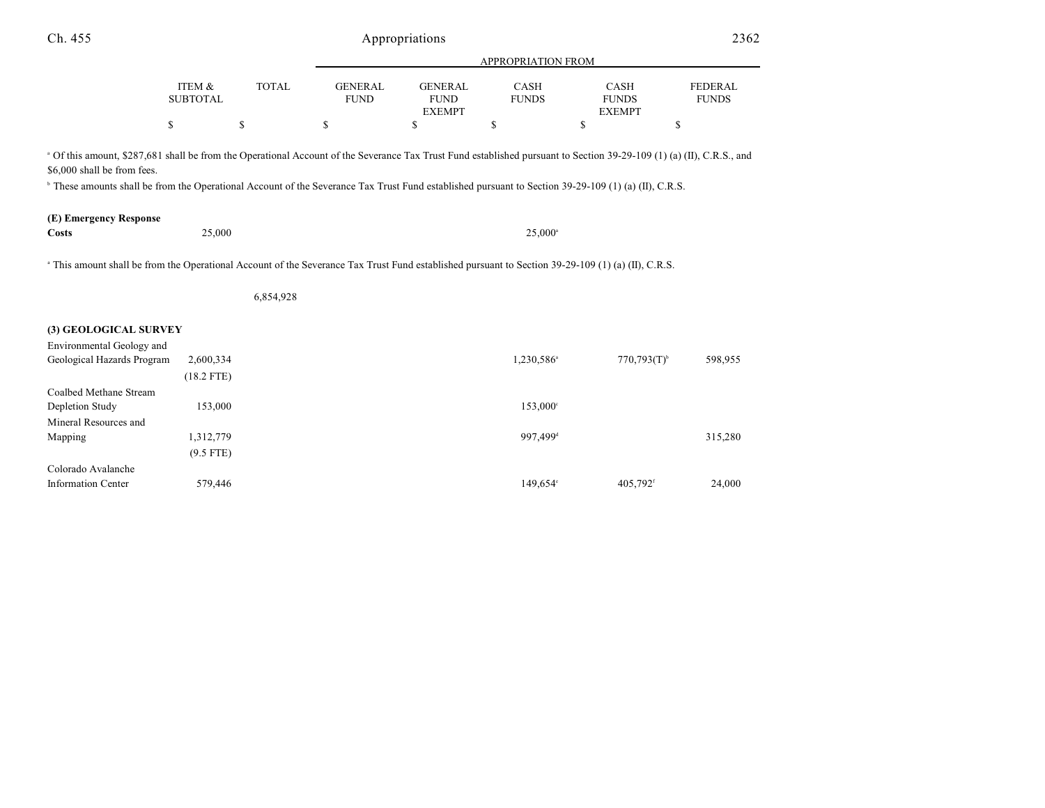| Ch. 455 | Appropriations | 2362 |
|---------|----------------|------|
|         |                |      |

|                                                                                                                                                                                                                                                                                                                                                                                    |                           |              | <b>APPROPRIATION FROM</b>     |                                                |                             |                                              |                                |  |
|------------------------------------------------------------------------------------------------------------------------------------------------------------------------------------------------------------------------------------------------------------------------------------------------------------------------------------------------------------------------------------|---------------------------|--------------|-------------------------------|------------------------------------------------|-----------------------------|----------------------------------------------|--------------------------------|--|
|                                                                                                                                                                                                                                                                                                                                                                                    | ITEM &<br><b>SUBTOTAL</b> | <b>TOTAL</b> | <b>GENERAL</b><br><b>FUND</b> | <b>GENERAL</b><br><b>FUND</b><br><b>EXEMPT</b> | <b>CASH</b><br><b>FUNDS</b> | <b>CASH</b><br><b>FUNDS</b><br><b>EXEMPT</b> | <b>FEDERAL</b><br><b>FUNDS</b> |  |
|                                                                                                                                                                                                                                                                                                                                                                                    | \$                        | \$           | \$                            | \$                                             | \$                          | \$                                           | \$                             |  |
| <sup>a</sup> Of this amount, \$287,681 shall be from the Operational Account of the Severance Tax Trust Fund established pursuant to Section 39-29-109 (1) (a) (II), C.R.S., and<br>\$6,000 shall be from fees.<br><sup>b</sup> These amounts shall be from the Operational Account of the Severance Tax Trust Fund established pursuant to Section 39-29-109 (1) (a) (II), C.R.S. |                           |              |                               |                                                |                             |                                              |                                |  |
| (E) Emergency Response                                                                                                                                                                                                                                                                                                                                                             |                           |              |                               |                                                |                             |                                              |                                |  |
| <b>Costs</b>                                                                                                                                                                                                                                                                                                                                                                       | 25,000                    |              |                               |                                                | $25,000^{\circ}$            |                                              |                                |  |
| <sup>a</sup> This amount shall be from the Operational Account of the Severance Tax Trust Fund established pursuant to Section 39-29-109 (1) (a) (II), C.R.S.                                                                                                                                                                                                                      |                           | 6,854,928    |                               |                                                |                             |                                              |                                |  |
| (3) GEOLOGICAL SURVEY                                                                                                                                                                                                                                                                                                                                                              |                           |              |                               |                                                |                             |                                              |                                |  |
| Environmental Geology and                                                                                                                                                                                                                                                                                                                                                          |                           |              |                               |                                                |                             |                                              |                                |  |
| Geological Hazards Program                                                                                                                                                                                                                                                                                                                                                         | 2,600,334                 |              |                               |                                                | 1,230,586 <sup>a</sup>      | $770,793(T)$ <sup>b</sup>                    | 598,955                        |  |
|                                                                                                                                                                                                                                                                                                                                                                                    | $(18.2$ FTE)              |              |                               |                                                |                             |                                              |                                |  |
| Coalbed Methane Stream                                                                                                                                                                                                                                                                                                                                                             |                           |              |                               |                                                |                             |                                              |                                |  |
| Depletion Study                                                                                                                                                                                                                                                                                                                                                                    | 153,000                   |              |                               |                                                | 153,000°                    |                                              |                                |  |
| Mineral Resources and                                                                                                                                                                                                                                                                                                                                                              |                           |              |                               |                                                |                             |                                              |                                |  |
| Mapping                                                                                                                                                                                                                                                                                                                                                                            | 1,312,779                 |              |                               |                                                | 997,499 <sup>d</sup>        |                                              | 315,280                        |  |
|                                                                                                                                                                                                                                                                                                                                                                                    | $(9.5$ FTE)               |              |                               |                                                |                             |                                              |                                |  |
| Colorado Avalanche                                                                                                                                                                                                                                                                                                                                                                 |                           |              |                               |                                                |                             |                                              |                                |  |
| <b>Information Center</b>                                                                                                                                                                                                                                                                                                                                                          | 579,446                   |              |                               |                                                | 149,654°                    | 405,792f                                     | 24,000                         |  |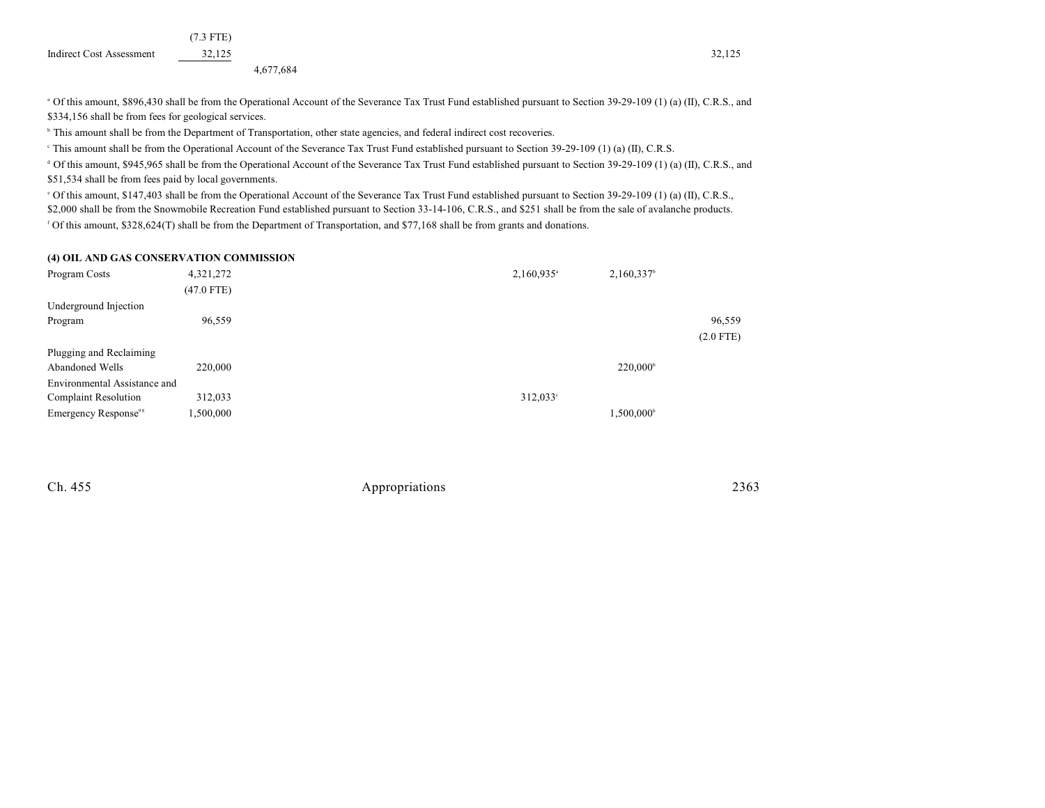|                                 | $(7.3$ FTE) |           |  |        |
|---------------------------------|-------------|-----------|--|--------|
| <b>Indirect Cost Assessment</b> | 32,125      |           |  | 32,125 |
|                                 |             | 4,677,684 |  |        |

<sup>a</sup> Of this amount, \$896,430 shall be from the Operational Account of the Severance Tax Trust Fund established pursuant to Section 39-29-109 (1) (a) (II), C.R.S., and \$334,156 shall be from fees for geological services.

<sup>b</sup> This amount shall be from the Department of Transportation, other state agencies, and federal indirect cost recoveries.

<sup>c</sup> This amount shall be from the Operational Account of the Severance Tax Trust Fund established pursuant to Section 39-29-109 (1) (a) (II), C.R.S.

<sup>d</sup> Of this amount, \$945,965 shall be from the Operational Account of the Severance Tax Trust Fund established pursuant to Section 39-29-109 (1) (a) (II), C.R.S., and \$51,534 shall be from fees paid by local governments.

 Of this amount, \$147,403 shall be from the Operational Account of the Severance Tax Trust Fund established pursuant to Section 39-29-109 (1) (a) (II), C.R.S., <sup>e</sup> \$2,000 shall be from the Snowmobile Recreation Fund established pursuant to Section 33-14-106, C.R.S., and \$251 shall be from the sale of avalanche products.

Of this amount, \$328,624(T) shall be from the Department of Transportation, and \$77,168 shall be from grants and donations. <sup>f</sup>

#### **(4) OIL AND GAS CONSERVATION COMMISSION**

| Program Costs                    | 4,321,272    | $2,160,935$ <sup>a</sup> | 2,160,337 <sup>b</sup> |             |
|----------------------------------|--------------|--------------------------|------------------------|-------------|
|                                  | $(47.0$ FTE) |                          |                        |             |
| Underground Injection            |              |                          |                        |             |
| Program                          | 96,559       |                          |                        | 96,559      |
|                                  |              |                          |                        | $(2.0$ FTE) |
| Plugging and Reclaiming          |              |                          |                        |             |
| Abandoned Wells                  | 220,000      |                          | 220,000 <sup>b</sup>   |             |
| Environmental Assistance and     |              |                          |                        |             |
| <b>Complaint Resolution</b>      | 312,033      | $312,033^{\circ}$        |                        |             |
| Emergency Response <sup>98</sup> | 1,500,000    |                          | 1,500,000 <sup>b</sup> |             |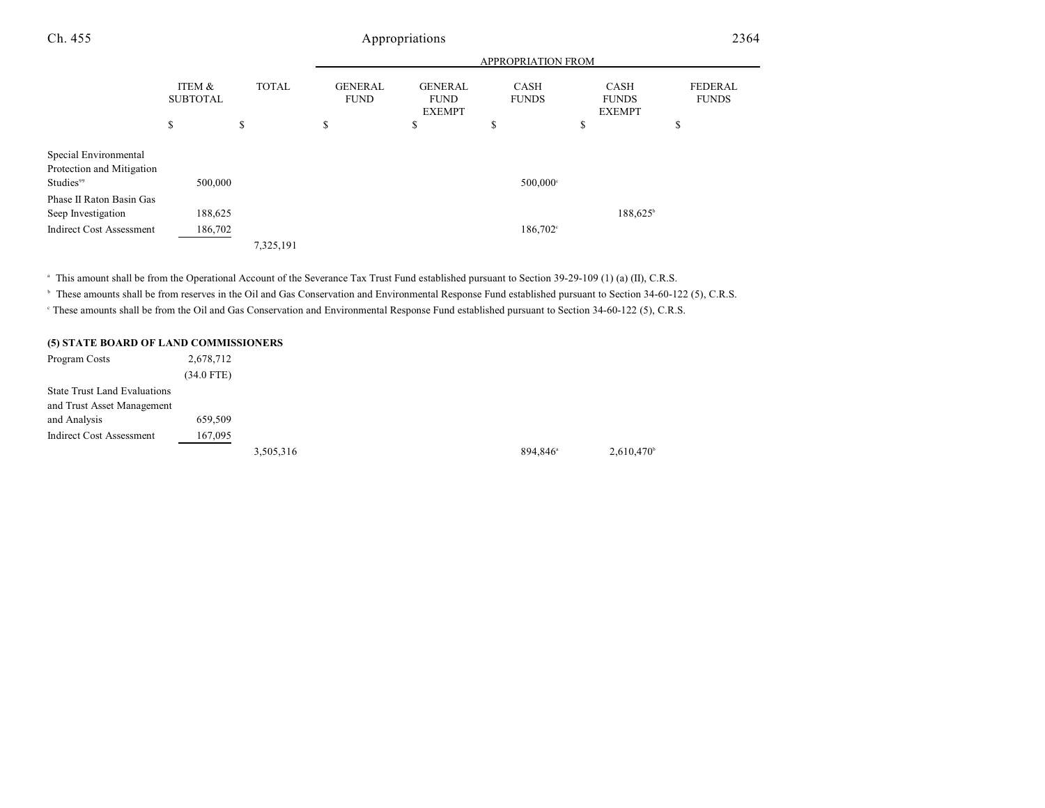| Ch. 455                                                                     |                           |              |                               | Appropriations                                 |                             |                                       | 2364                           |  |
|-----------------------------------------------------------------------------|---------------------------|--------------|-------------------------------|------------------------------------------------|-----------------------------|---------------------------------------|--------------------------------|--|
|                                                                             |                           |              |                               |                                                | APPROPRIATION FROM          |                                       |                                |  |
|                                                                             | ITEM &<br><b>SUBTOTAL</b> | <b>TOTAL</b> | <b>GENERAL</b><br><b>FUND</b> | <b>GENERAL</b><br><b>FUND</b><br><b>EXEMPT</b> | <b>CASH</b><br><b>FUNDS</b> | CASH<br><b>FUNDS</b><br><b>EXEMPT</b> | <b>FEDERAL</b><br><b>FUNDS</b> |  |
|                                                                             | \$                        | \$           | \$                            | \$                                             | \$                          | \$                                    | ¢<br>P                         |  |
| Special Environmental<br>Protection and Mitigation<br>Studies <sup>99</sup> | 500,000                   |              |                               |                                                | 500,000 <sup>c</sup>        |                                       |                                |  |
| Phase II Raton Basin Gas<br>Seep Investigation                              | 188,625                   |              |                               |                                                |                             | $188,625^{\circ}$                     |                                |  |
| <b>Indirect Cost Assessment</b>                                             | 186,702                   | 7,325,191    |                               |                                                | $186,702^{\circ}$           |                                       |                                |  |

<sup>a</sup> This amount shall be from the Operational Account of the Severance Tax Trust Fund established pursuant to Section 39-29-109 (1) (a) (II), C.R.S.

<sup>h</sup> These amounts shall be from reserves in the Oil and Gas Conservation and Environmental Response Fund established pursuant to Section 34-60-122 (5), C.R.S.

These amounts shall be from the Oil and Gas Conservation and Environmental Response Fund established pursuant to Section 34-60-122 (5), C.R.S.

### **(5) STATE BOARD OF LAND COMMISSIONERS**

| Program Costs                       | 2,678,712    |           |                      |                          |
|-------------------------------------|--------------|-----------|----------------------|--------------------------|
|                                     | $(34.0$ FTE) |           |                      |                          |
| <b>State Trust Land Evaluations</b> |              |           |                      |                          |
| and Trust Asset Management          |              |           |                      |                          |
| and Analysis                        | 659,509      |           |                      |                          |
| Indirect Cost Assessment            | 167,095      |           |                      |                          |
|                                     |              | 3,505,316 | 894.846 <sup>a</sup> | $2,610,470$ <sup>t</sup> |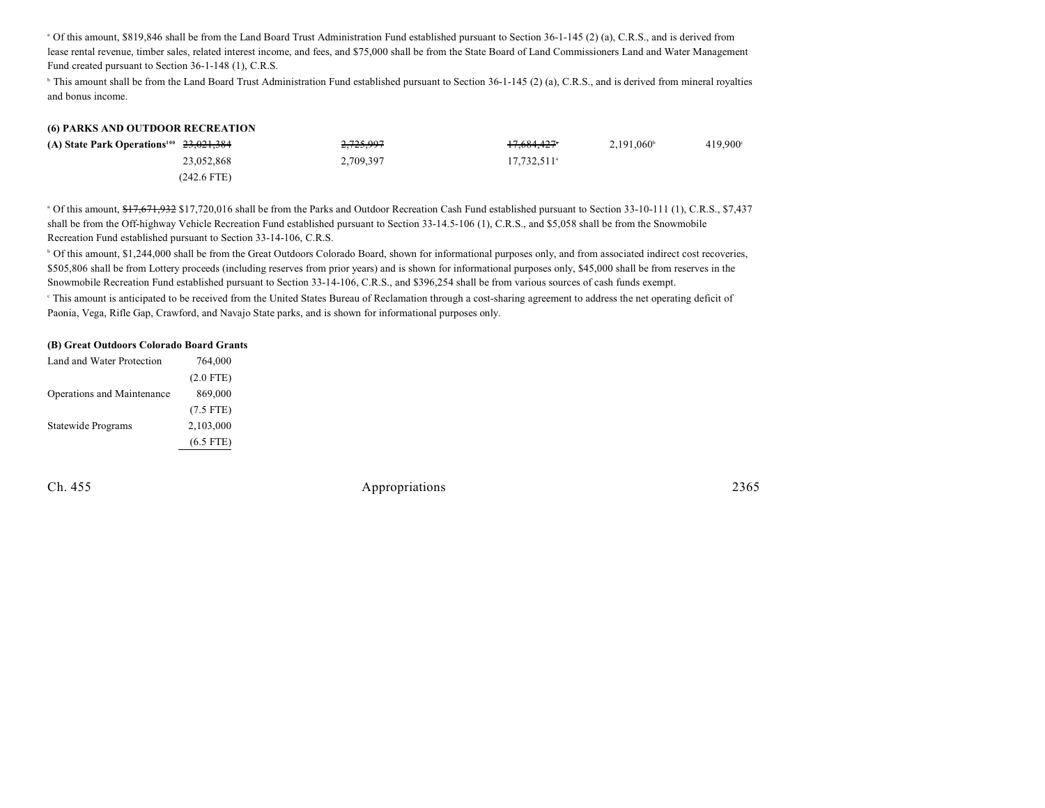<sup>a</sup> Of this amount, \$819,846 shall be from the Land Board Trust Administration Fund established pursuant to Section 36-1-145 (2) (a), C.R.S., and is derived from lease rental revenue, timber sales, related interest income, and fees, and \$75,000 shall be from the State Board of Land Commissioners Land and Water Management Fund created pursuant to Section 36-1-148 (1), C.R.S.

<sup>b</sup> This amount shall be from the Land Board Trust Administration Fund established pursuant to Section 36-1-145 (2) (a), C.R.S., and is derived from mineral royalties and bonus income.

| (6) PARKS AND OUTDOOR RECREATION                      |               |           |                         |                     |                   |
|-------------------------------------------------------|---------------|-----------|-------------------------|---------------------|-------------------|
| (A) State Park Operations <sup>100</sup> $23,021,384$ |               | 2,725,997 | 17.684.427*             | $2.191.060^{\circ}$ | $419.900^{\circ}$ |
|                                                       | 23.052.868    | 2,709,397 | 17.732.511 <sup>a</sup> |                     |                   |
|                                                       | $(242.6$ FTE) |           |                         |                     |                   |

<sup>a</sup> Of this amount, \$17,671,932 \$17,720,016 shall be from the Parks and Outdoor Recreation Cash Fund established pursuant to Section 33-10-111 (1), C.R.S., \$7,437 shall be from the Off-highway Vehicle Recreation Fund established pursuant to Section 33-14.5-106 (1), C.R.S., and \$5,058 shall be from the Snowmobile Recreation Fund established pursuant to Section 33-14-106, C.R.S.

<sup>b</sup> Of this amount, \$1,244,000 shall be from the Great Outdoors Colorado Board, shown for informational purposes only, and from associated indirect cost recoveries, \$505,806 shall be from Lottery proceeds (including reserves from prior years) and is shown for informational purposes only, \$45,000 shall be from reserves in the Snowmobile Recreation Fund established pursuant to Section 33-14-106, C.R.S., and \$396,254 shall be from various sources of cash funds exempt.

<sup>e</sup> This amount is anticipated to be received from the United States Bureau of Reclamation through a cost-sharing agreement to address the net operating deficit of Paonia, Vega, Rifle Gap, Crawford, and Navajo State parks, and is shown for informational purposes only.

#### **(B) Great Outdoors Colorado Board Grants**

| Land and Water Protection  | 764,000     |
|----------------------------|-------------|
|                            | $(2.0$ FTE) |
| Operations and Maintenance | 869,000     |
|                            | $(7.5$ FTE) |
| Statewide Programs         | 2,103,000   |
|                            | $(6.5$ FTE) |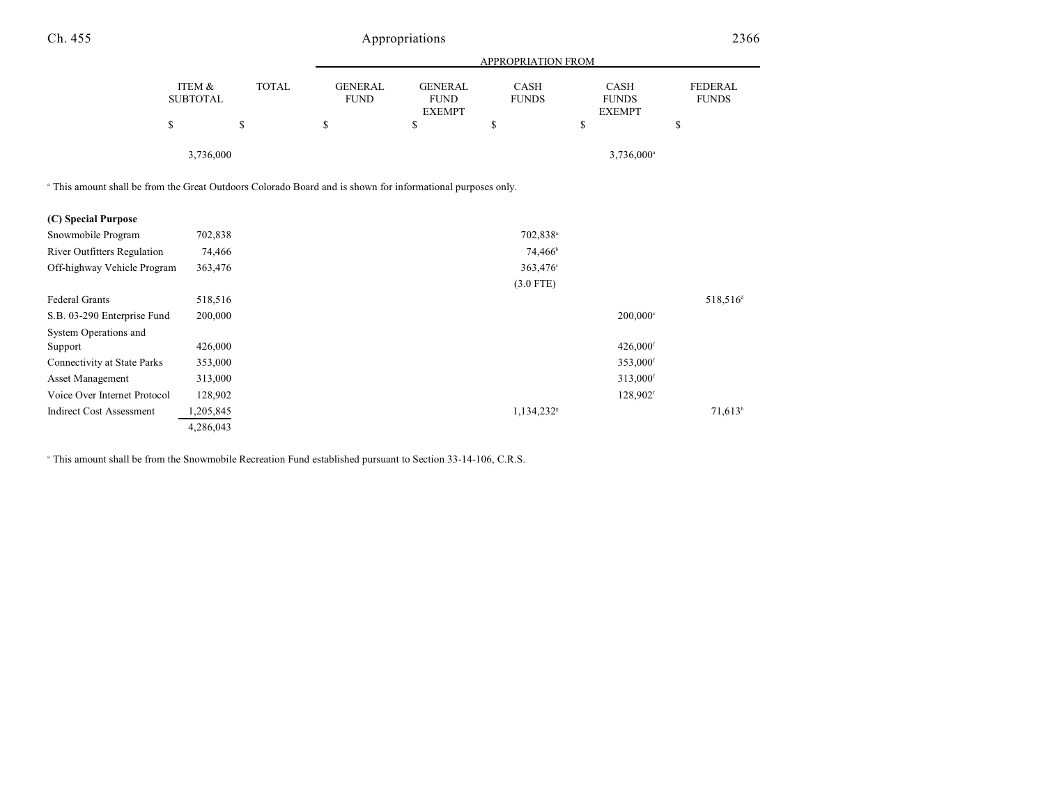# Ch. 455 Appropriations 2366

|                                                                                                                        |                           |              | <b>APPROPRIATION FROM</b>     |                                                |                             |                                              |                         |
|------------------------------------------------------------------------------------------------------------------------|---------------------------|--------------|-------------------------------|------------------------------------------------|-----------------------------|----------------------------------------------|-------------------------|
|                                                                                                                        | ITEM &<br><b>SUBTOTAL</b> | <b>TOTAL</b> | <b>GENERAL</b><br><b>FUND</b> | <b>GENERAL</b><br><b>FUND</b><br><b>EXEMPT</b> | <b>CASH</b><br><b>FUNDS</b> | <b>CASH</b><br><b>FUNDS</b><br><b>EXEMPT</b> | FEDERAL<br><b>FUNDS</b> |
| \$                                                                                                                     |                           | \$           | \$                            | \$                                             | \$                          | \$                                           | \$                      |
|                                                                                                                        | 3,736,000                 |              |                               |                                                |                             | 3,736,000 <sup>a</sup>                       |                         |
| <sup>a</sup> This amount shall be from the Great Outdoors Colorado Board and is shown for informational purposes only. |                           |              |                               |                                                |                             |                                              |                         |
| (C) Special Purpose                                                                                                    |                           |              |                               |                                                |                             |                                              |                         |
| Snowmobile Program                                                                                                     | 702,838                   |              |                               |                                                | 702,838 <sup>a</sup>        |                                              |                         |
| <b>River Outfitters Regulation</b>                                                                                     | 74,466                    |              |                               |                                                | $74,466^{\circ}$            |                                              |                         |
| Off-highway Vehicle Program                                                                                            | 363,476                   |              |                               |                                                | 363,476°                    |                                              |                         |
|                                                                                                                        |                           |              |                               |                                                | $(3.0$ FTE)                 |                                              |                         |
| Federal Grants                                                                                                         | 518,516                   |              |                               |                                                |                             |                                              | 518,516 <sup>d</sup>    |
| S.B. 03-290 Enterprise Fund                                                                                            | 200,000                   |              |                               |                                                |                             | $200,000$ °                                  |                         |
| System Operations and                                                                                                  |                           |              |                               |                                                |                             |                                              |                         |
| Support                                                                                                                | 426,000                   |              |                               |                                                |                             | $426,000$ <sup>f</sup>                       |                         |
| Connectivity at State Parks                                                                                            | 353,000                   |              |                               |                                                |                             | 353,000 <sup>f</sup>                         |                         |
| Asset Management                                                                                                       | 313,000                   |              |                               |                                                |                             | 313,000 <sup>f</sup>                         |                         |
| Voice Over Internet Protocol                                                                                           | 128,902                   |              |                               |                                                |                             | 128,902 <sup>f</sup>                         |                         |
| <b>Indirect Cost Assessment</b>                                                                                        | 1,205,845                 |              |                               |                                                | 1,134,232 <sup>s</sup>      |                                              | 71,613 <sup>h</sup>     |

<sup>a</sup> This amount shall be from the Snowmobile Recreation Fund established pursuant to Section 33-14-106, C.R.S.

4,286,043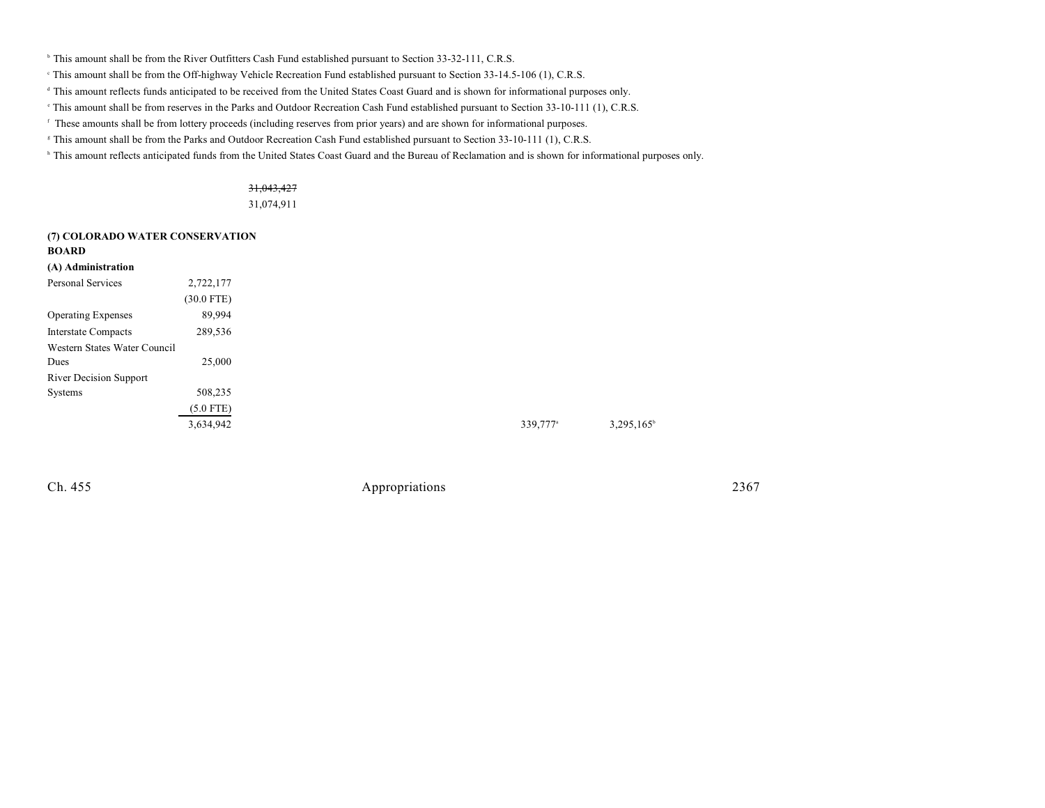<sup>b</sup> This amount shall be from the River Outfitters Cash Fund established pursuant to Section 33-32-111, C.R.S.

<sup>e</sup> This amount shall be from the Off-highway Vehicle Recreation Fund established pursuant to Section 33-14.5-106 (1), C.R.S.

<sup>d</sup> This amount reflects funds anticipated to be received from the United States Coast Guard and is shown for informational purposes only.

This amount shall be from reserves in the Parks and Outdoor Recreation Cash Fund established pursuant to Section 33-10-111 (1), C.R.S.

These amounts shall be from lottery proceeds (including reserves from prior years) and are shown for informational purposes. <sup>f</sup>

<sup>8</sup> This amount shall be from the Parks and Outdoor Recreation Cash Fund established pursuant to Section 33-10-111 (1), C.R.S.

<sup>h</sup> This amount reflects anticipated funds from the United States Coast Guard and the Bureau of Reclamation and is shown for informational purposes only.

31,043,427

31,074,911

| (7) COLORADO WATER CONSERVATION |              |                      |
|---------------------------------|--------------|----------------------|
| <b>BOARD</b>                    |              |                      |
| (A) Administration              |              |                      |
| <b>Personal Services</b>        | 2,722,177    |                      |
|                                 | $(30.0$ FTE) |                      |
| <b>Operating Expenses</b>       | 89,994       |                      |
| <b>Interstate Compacts</b>      | 289,536      |                      |
| Western States Water Council    |              |                      |
| Dues                            | 25,000       |                      |
| <b>River Decision Support</b>   |              |                      |
| Systems                         | 508,235      |                      |
|                                 | $(5.0$ FTE)  |                      |
|                                 | 3,634,942    | 339,777 <sup>a</sup> |
|                                 |              |                      |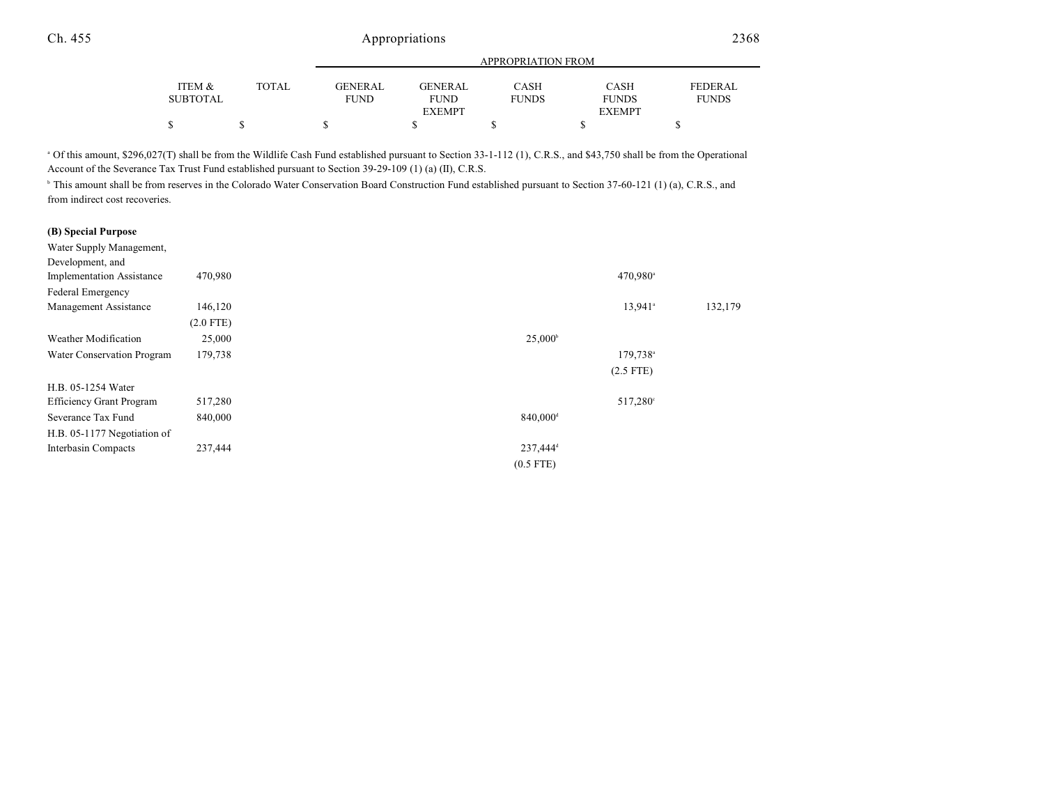|                 |        |                | APPROPRIATION FROM |              |               |              |  |
|-----------------|--------|----------------|--------------------|--------------|---------------|--------------|--|
|                 |        |                |                    |              |               |              |  |
| ITEM &          | TOTAL. | <b>GENERAL</b> | <b>GENERAL</b>     | <b>CASH</b>  | <b>CASH</b>   | FEDERAL      |  |
| <b>SUBTOTAL</b> |        | <b>FUND</b>    | <b>FUND</b>        | <b>FUNDS</b> | <b>FUNDS</b>  | <b>FUNDS</b> |  |
|                 |        |                | <b>EXEMPT</b>      |              | <b>EXEMPT</b> |              |  |
| \$              |        |                |                    |              |               |              |  |

<sup>a</sup> Of this amount, \$296,027(T) shall be from the Wildlife Cash Fund established pursuant to Section 33-1-112 (1), C.R.S., and \$43,750 shall be from the Operational Account of the Severance Tax Trust Fund established pursuant to Section 39-29-109 (1) (a) (II), C.R.S.

<sup>h</sup> This amount shall be from reserves in the Colorado Water Conservation Board Construction Fund established pursuant to Section 37-60-121 (1) (a), C.R.S., and from indirect cost recoveries.

#### **(B) Special Purpose**

| Water Supply Management,         |             |                      |         |
|----------------------------------|-------------|----------------------|---------|
| Development, and                 |             |                      |         |
| <b>Implementation Assistance</b> | 470,980     | 470,980 <sup>a</sup> |         |
| Federal Emergency                |             |                      |         |
| Management Assistance            | 146,120     | 13.941 <sup>a</sup>  | 132,179 |
|                                  | $(2.0$ FTE) |                      |         |
| Weather Modification             | 25,000      | $25,000^{\circ}$     |         |
| Water Conservation Program       | 179,738     | 179,738 <sup>a</sup> |         |
|                                  |             | $(2.5$ FTE)          |         |
| H.B. 05-1254 Water               |             |                      |         |
| <b>Efficiency Grant Program</b>  | 517,280     | 517,280 <sup>c</sup> |         |
| Severance Tax Fund               | 840,000     | 840,000 <sup>d</sup> |         |
| H.B. 05-1177 Negotiation of      |             |                      |         |
| Interbasin Compacts              | 237,444     | 237,444 <sup>d</sup> |         |
|                                  |             | $(0.5$ FTE)          |         |

and the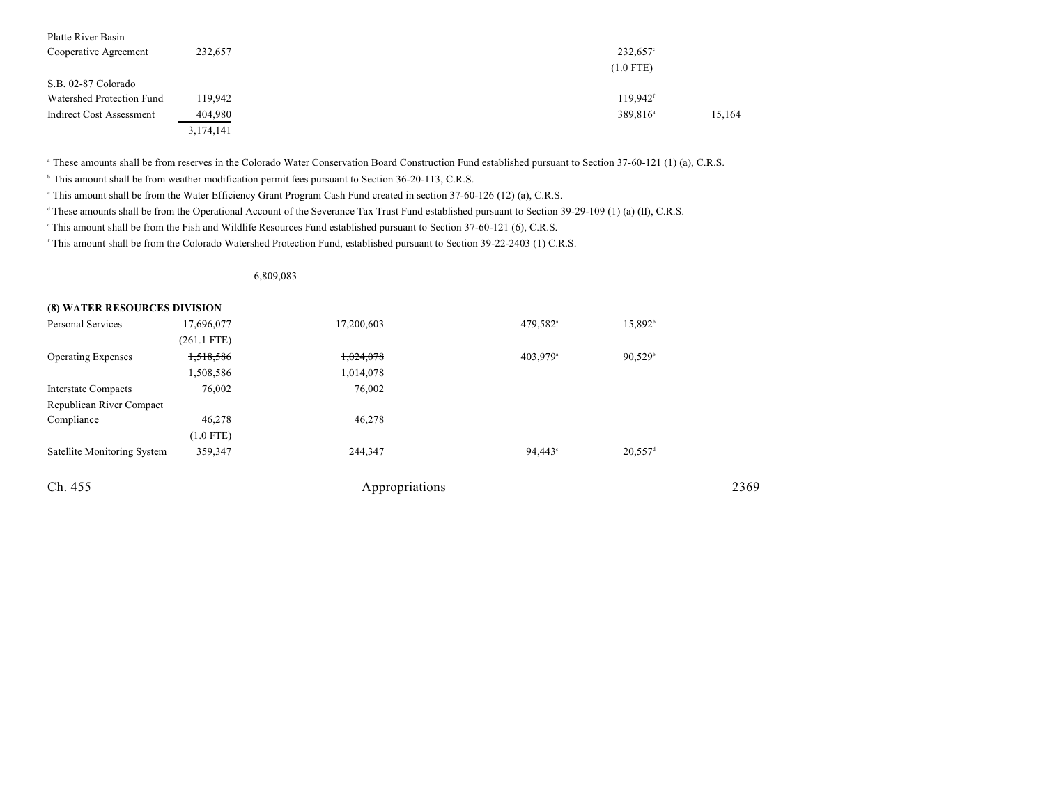| Platte River Basin        |           |                      |        |
|---------------------------|-----------|----------------------|--------|
| Cooperative Agreement     | 232,657   | $232,657$ °          |        |
|                           |           | $(1.0$ FTE)          |        |
| S.B. 02-87 Colorado       |           |                      |        |
| Watershed Protection Fund | 119.942   | 119,942 <sup>f</sup> |        |
| Indirect Cost Assessment  | 404,980   | 389,816 <sup>a</sup> | 15,164 |
|                           | 3,174,141 |                      |        |

<sup>a</sup> These amounts shall be from reserves in the Colorado Water Conservation Board Construction Fund established pursuant to Section 37-60-121 (1) (a), C.R.S.

<sup>b</sup> This amount shall be from weather modification permit fees pursuant to Section 36-20-113, C.R.S.

<sup>e</sup> This amount shall be from the Water Efficiency Grant Program Cash Fund created in section 37-60-126 (12) (a), C.R.S.

<sup>d</sup> These amounts shall be from the Operational Account of the Severance Tax Trust Fund established pursuant to Section 39-29-109 (1) (a) (II), C.R.S.

This amount shall be from the Fish and Wildlife Resources Fund established pursuant to Section 37-60-121 (6), C.R.S.

<sup>f</sup> This amount shall be from the Colorado Watershed Protection Fund, established pursuant to Section 39-22-2403 (1) C.R.S.

6,809,083

#### **(8) WATER RESOURCES DIVISION**

| <b>Personal Services</b>    | 17,696,077    | 17,200,603     | 479,582 <sup>a</sup>   | 15,892 <sup>b</sup>   |      |
|-----------------------------|---------------|----------------|------------------------|-----------------------|------|
|                             | $(261.1$ FTE) |                |                        |                       |      |
| <b>Operating Expenses</b>   | 1,518,586     | 1,024,078      | $403.979$ <sup>a</sup> | 90,529 <sup>b</sup>   |      |
|                             | 1,508,586     | 1,014,078      |                        |                       |      |
| <b>Interstate Compacts</b>  | 76,002        | 76,002         |                        |                       |      |
| Republican River Compact    |               |                |                        |                       |      |
| Compliance                  | 46,278        | 46,278         |                        |                       |      |
|                             | $(1.0$ FTE)   |                |                        |                       |      |
| Satellite Monitoring System | 359,347       | 244,347        | 94.443°                | $20,557$ <sup>d</sup> |      |
| Ch. 455                     |               | Appropriations |                        |                       | 2369 |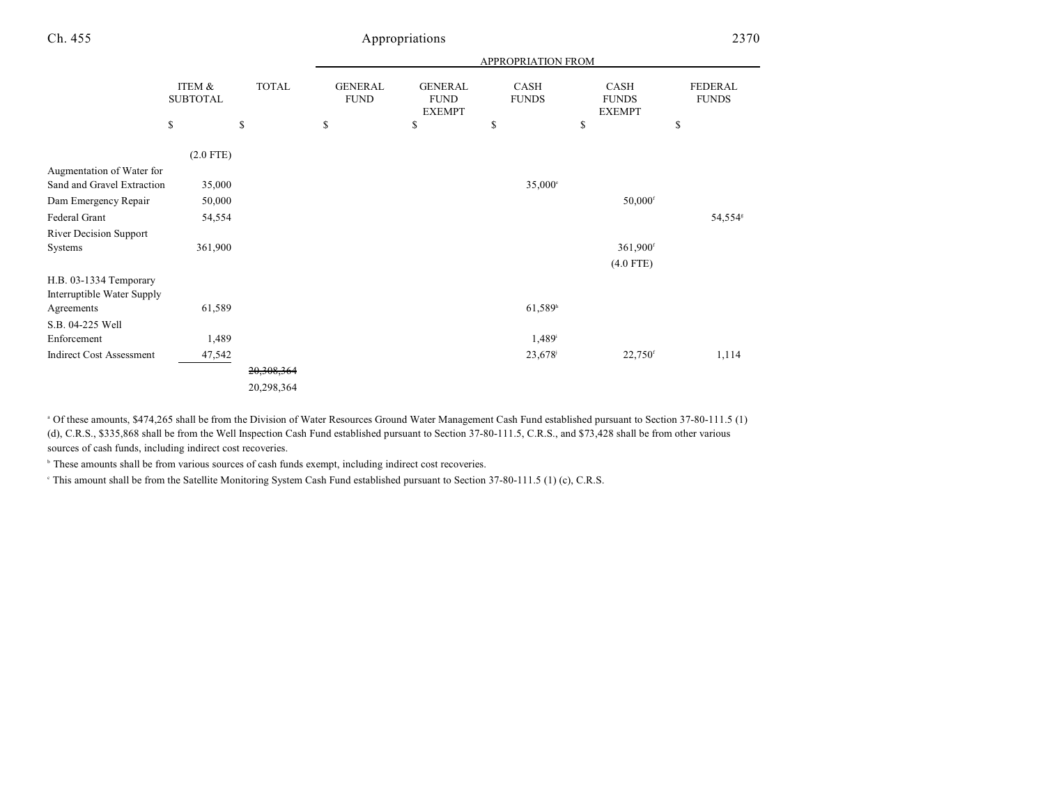|                                 |                           | <b>TOTAL</b> | APPROPRIATION FROM            |                                                |                       |                                       |                                |  |
|---------------------------------|---------------------------|--------------|-------------------------------|------------------------------------------------|-----------------------|---------------------------------------|--------------------------------|--|
|                                 | ITEM &<br><b>SUBTOTAL</b> |              | <b>GENERAL</b><br><b>FUND</b> | <b>GENERAL</b><br><b>FUND</b><br><b>EXEMPT</b> | CASH<br><b>FUNDS</b>  | CASH<br><b>FUNDS</b><br><b>EXEMPT</b> | <b>FEDERAL</b><br><b>FUNDS</b> |  |
|                                 | \$                        | \$           | \$                            | \$                                             | \$                    | \$                                    | \$                             |  |
|                                 | $(2.0$ FTE)               |              |                               |                                                |                       |                                       |                                |  |
| Augmentation of Water for       |                           |              |                               |                                                |                       |                                       |                                |  |
| Sand and Gravel Extraction      | 35,000                    |              |                               |                                                | $35,000^{\circ}$      |                                       |                                |  |
| Dam Emergency Repair            | 50,000                    |              |                               |                                                |                       | $50,000$ <sup>f</sup>                 |                                |  |
| Federal Grant                   | 54,554                    |              |                               |                                                |                       |                                       | 54,554                         |  |
| <b>River Decision Support</b>   |                           |              |                               |                                                |                       |                                       |                                |  |
| Systems                         | 361,900                   |              |                               |                                                |                       | 361,900 <sup>f</sup>                  |                                |  |
|                                 |                           |              |                               |                                                |                       | $(4.0$ FTE)                           |                                |  |
| H.B. 03-1334 Temporary          |                           |              |                               |                                                |                       |                                       |                                |  |
| Interruptible Water Supply      |                           |              |                               |                                                |                       |                                       |                                |  |
| Agreements                      | 61,589                    |              |                               |                                                | $61,589$ <sup>h</sup> |                                       |                                |  |
| S.B. 04-225 Well                |                           |              |                               |                                                |                       |                                       |                                |  |
| Enforcement                     | 1,489                     |              |                               |                                                | 1,489 <sup>i</sup>    |                                       |                                |  |
| <b>Indirect Cost Assessment</b> | 47,542                    |              |                               |                                                | 23,678                | $22,750$ <sup>f</sup>                 | 1,114                          |  |
|                                 |                           | 20,308,364   |                               |                                                |                       |                                       |                                |  |
|                                 |                           | 20,298,364   |                               |                                                |                       |                                       |                                |  |

Ch. 455 Appropriations 2370

<sup>a</sup> Of these amounts, \$474,265 shall be from the Division of Water Resources Ground Water Management Cash Fund established pursuant to Section 37-80-111.5 (1) (d), C.R.S., \$335,868 shall be from the Well Inspection Cash Fund established pursuant to Section 37-80-111.5, C.R.S., and \$73,428 shall be from other various sources of cash funds, including indirect cost recoveries.

<sup>b</sup> These amounts shall be from various sources of cash funds exempt, including indirect cost recoveries.

<sup>e</sup> This amount shall be from the Satellite Monitoring System Cash Fund established pursuant to Section 37-80-111.5 (1) (c), C.R.S.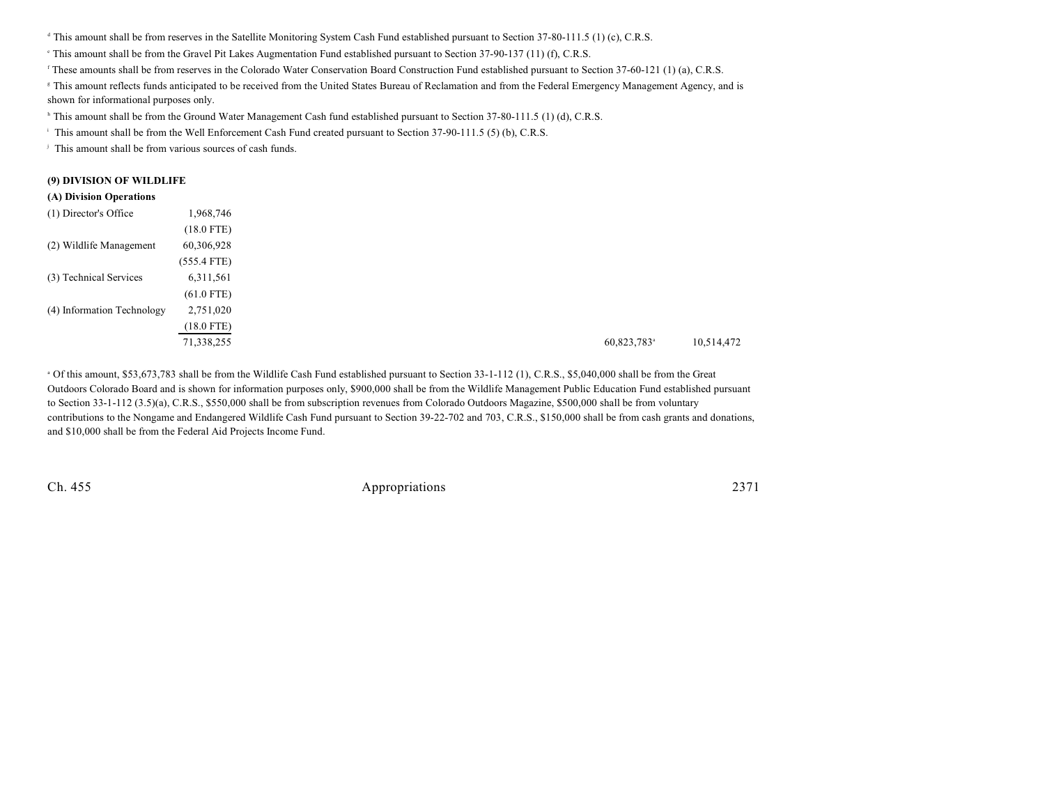$\textdegree$  This amount shall be from reserves in the Satellite Monitoring System Cash Fund established pursuant to Section 37-80-111.5 (1) (c), C.R.S.

<sup>e</sup> This amount shall be from the Gravel Pit Lakes Augmentation Fund established pursuant to Section 37-90-137 (11) (f), C.R.S.

<sup>f</sup> These amounts shall be from reserves in the Colorado Water Conservation Board Construction Fund established pursuant to Section 37-60-121 (1) (a), C.R.S.

Inis amount reflects funds anticipated to be received from the United States Bureau of Reclamation and from the Federal Emergency Management Agency, and is shown for informational purposes only.

<sup>h</sup> This amount shall be from the Ground Water Management Cash fund established pursuant to Section 37-80-111.5 (1) (d), C.R.S.

<sup>1</sup> This amount shall be from the Well Enforcement Cash Fund created pursuant to Section 37-90-111.5 (5) (b), C.R.S.

<sup>j</sup> This amount shall be from various sources of cash funds.

#### **(9) DIVISION OF WILDLIFE**

| (A) Division Operations    |               |
|----------------------------|---------------|
| (1) Director's Office      | 1,968,746     |
|                            | $(18.0$ FTE)  |
| (2) Wildlife Management    | 60,306,928    |
|                            | $(555.4$ FTE) |
| (3) Technical Services     | 6,311,561     |
|                            | $(61.0$ FTE)  |
| (4) Information Technology | 2,751,020     |
|                            | $(18.0$ FTE)  |
|                            | 71,338,255    |

<sup>a</sup> Of this amount, \$53,673,783 shall be from the Wildlife Cash Fund established pursuant to Section 33-1-112 (1), C.R.S., \$5,040,000 shall be from the Great Outdoors Colorado Board and is shown for information purposes only, \$900,000 shall be from the Wildlife Management Public Education Fund established pursuant to Section 33-1-112 (3.5)(a), C.R.S., \$550,000 shall be from subscription revenues from Colorado Outdoors Magazine, \$500,000 shall be from voluntary contributions to the Nongame and Endangered Wildlife Cash Fund pursuant to Section 39-22-702 and 703, C.R.S., \$150,000 shall be from cash grants and donations, and \$10,000 shall be from the Federal Aid Projects Income Fund.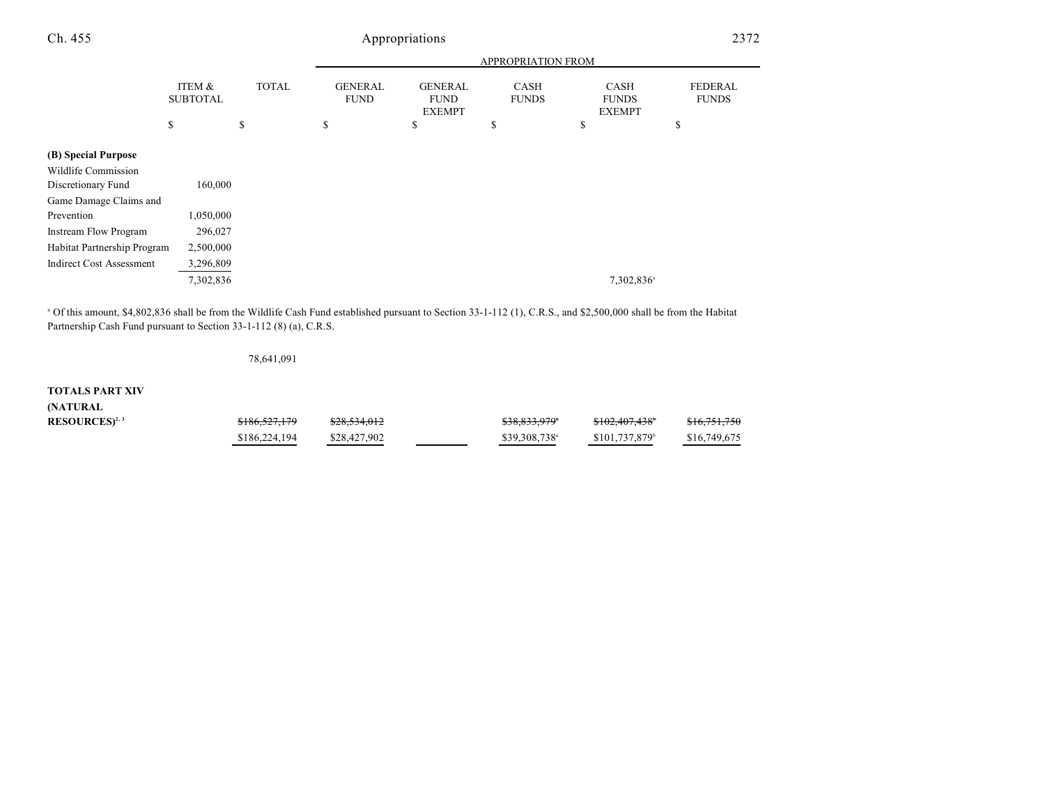# Appropriations 2372

|                                                                                                                                   |                                 |              | APPROPRIATION FROM            |                                                |                             |                                              |                                |  |
|-----------------------------------------------------------------------------------------------------------------------------------|---------------------------------|--------------|-------------------------------|------------------------------------------------|-----------------------------|----------------------------------------------|--------------------------------|--|
|                                                                                                                                   | ITEM &<br><b>SUBTOTAL</b>       | <b>TOTAL</b> | <b>GENERAL</b><br><b>FUND</b> | <b>GENERAL</b><br><b>FUND</b><br><b>EXEMPT</b> | <b>CASH</b><br><b>FUNDS</b> | <b>CASH</b><br><b>FUNDS</b><br><b>EXEMPT</b> | <b>FEDERAL</b><br><b>FUNDS</b> |  |
|                                                                                                                                   | \$                              | \$           | \$                            | \$                                             | \$                          | \$                                           | \$                             |  |
| (B) Special Purpose<br>Wildlife Commission<br>Discretionary Fund<br>Game Damage Claims and<br>Prevention<br>Instream Flow Program | 160,000<br>1,050,000<br>296,027 |              |                               |                                                |                             |                                              |                                |  |
| Habitat Partnership Program                                                                                                       | 2,500,000                       |              |                               |                                                |                             |                                              |                                |  |
| <b>Indirect Cost Assessment</b>                                                                                                   | 3,296,809<br>7,302,836          |              |                               |                                                |                             | 7,302,836 <sup>a</sup>                       |                                |  |

<sup>a</sup> Of this amount, \$4,802,836 shall be from the Wildlife Cash Fund established pursuant to Section 33-1-112 (1), C.R.S., and \$2,500,000 shall be from the Habitat Partnership Cash Fund pursuant to Section 33-1-112 (8) (a), C.R.S.

78,641,091

### **TOTALS PART XIV (NATURAL**

| , , , , , , , , , , , , , , ,     |                          |                         |                           |                            |                         |
|-----------------------------------|--------------------------|-------------------------|---------------------------|----------------------------|-------------------------|
| <b>RESOURCES)</b> <sup>2, 3</sup> | <del>\$186,527,179</del> | <del>\$28,534,012</del> | \$38,833,979*             | <del>\$102,407,438</del>   | 016751750<br>0.751, 750 |
|                                   | \$186,224,194            | \$28,427,902            | \$39,308,738 <sup>a</sup> | \$101,737,879 <sup>b</sup> | \$16,749,675            |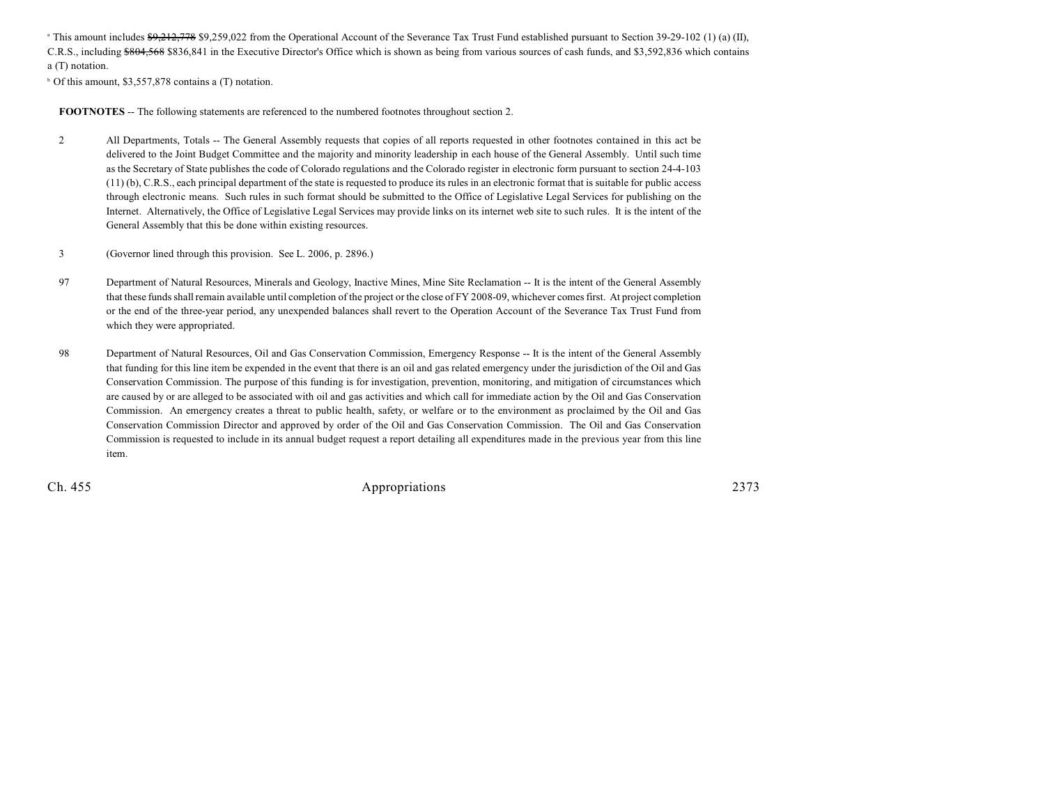<sup>a</sup> This amount includes  $\frac{69,212,778}{6}$  \$9,259,022 from the Operational Account of the Severance Tax Trust Fund established pursuant to Section 39-29-102 (1) (a) (II), C.R.S., including \$804,568 \$836,841 in the Executive Director's Office which is shown as being from various sources of cash funds, and \$3,592,836 which contains a (T) notation.

 $\degree$  Of this amount, \$3,557,878 contains a (T) notation.

**FOOTNOTES** -- The following statements are referenced to the numbered footnotes throughout section 2.

- 2 All Departments, Totals -- The General Assembly requests that copies of all reports requested in other footnotes contained in this act be delivered to the Joint Budget Committee and the majority and minority leadership in each house of the General Assembly. Until such time as the Secretary of State publishes the code of Colorado regulations and the Colorado register in electronic form pursuant to section 24-4-103 (11) (b), C.R.S., each principal department of the state is requested to produce its rules in an electronic format that is suitable for public access through electronic means. Such rules in such format should be submitted to the Office of Legislative Legal Services for publishing on the Internet. Alternatively, the Office of Legislative Legal Services may provide links on its internet web site to such rules. It is the intent of the General Assembly that this be done within existing resources.
- 3 (Governor lined through this provision. See L. 2006, p. 2896.)
- 97 Department of Natural Resources, Minerals and Geology, Inactive Mines, Mine Site Reclamation -- It is the intent of the General Assembly that these funds shall remain available until completion of the project or the close of FY 2008-09, whichever comes first. At project completion or the end of the three-year period, any unexpended balances shall revert to the Operation Account of the Severance Tax Trust Fund from which they were appropriated.
- 98 Department of Natural Resources, Oil and Gas Conservation Commission, Emergency Response -- It is the intent of the General Assembly that funding for this line item be expended in the event that there is an oil and gas related emergency under the jurisdiction of the Oil and Gas Conservation Commission. The purpose of this funding is for investigation, prevention, monitoring, and mitigation of circumstances which are caused by or are alleged to be associated with oil and gas activities and which call for immediate action by the Oil and Gas Conservation Commission. An emergency creates a threat to public health, safety, or welfare or to the environment as proclaimed by the Oil and Gas Conservation Commission Director and approved by order of the Oil and Gas Conservation Commission. The Oil and Gas Conservation Commission is requested to include in its annual budget request a report detailing all expenditures made in the previous year from this line item.